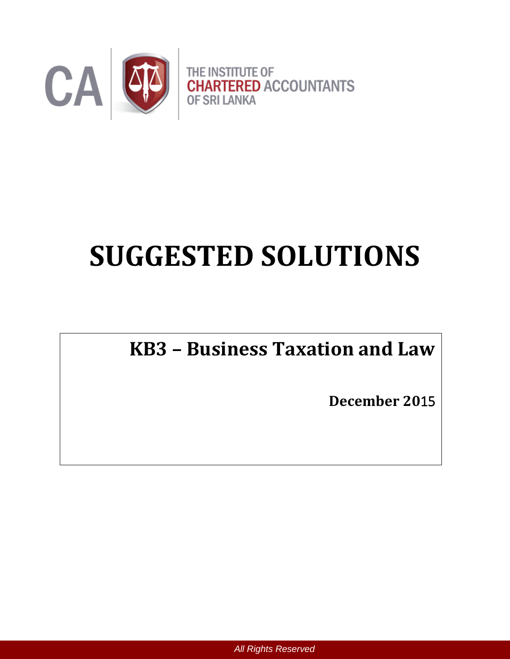

# **SUGGESTED SOLUTIONS**

## **KB3 – Business Taxation and Law**

**December 20**15

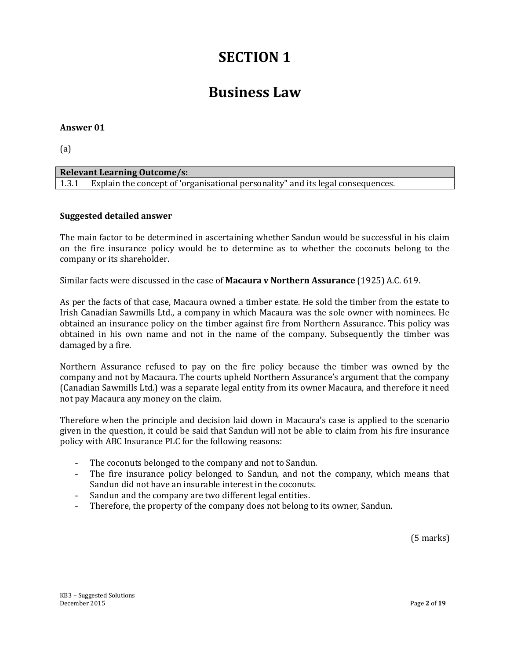## **SECTION 1**

## **Business Law**

#### **Answer 01**

(a)

| <b>Relevant Learning Outcome/s:</b>                                                   |  |
|---------------------------------------------------------------------------------------|--|
| 1.3.1 Explain the concept of 'organisational personality" and its legal consequences. |  |

#### **Suggested detailed answer**

The main factor to be determined in ascertaining whether Sandun would be successful in his claim on the fire insurance policy would be to determine as to whether the coconuts belong to the company or its shareholder.

Similar facts were discussed in the case of **Macaura v Northern Assurance** (1925) A.C. 619.

As per the facts of that case, Macaura owned a timber estate. He sold the timber from the estate to Irish Canadian Sawmills Ltd., a company in which Macaura was the sole owner with nominees. He obtained an insurance policy on the timber against fire from Northern Assurance. This policy was obtained in his own name and not in the name of the company. Subsequently the timber was damaged by a fire.

Northern Assurance refused to pay on the fire policy because the timber was owned by the company and not by Macaura. The courts upheld Northern Assurance's argument that the company (Canadian Sawmills Ltd.) was a separate legal entity from its owner Macaura, and therefore it need not pay Macaura any money on the claim.

Therefore when the principle and decision laid down in Macaura's case is applied to the scenario given in the question, it could be said that Sandun will not be able to claim from his fire insurance policy with ABC Insurance PLC for the following reasons:

- The coconuts belonged to the company and not to Sandun.
- The fire insurance policy belonged to Sandun, and not the company, which means that Sandun did not have an insurable interest in the coconuts.
- Sandun and the company are two different legal entities.
- Therefore, the property of the company does not belong to its owner, Sandun.

(5 marks)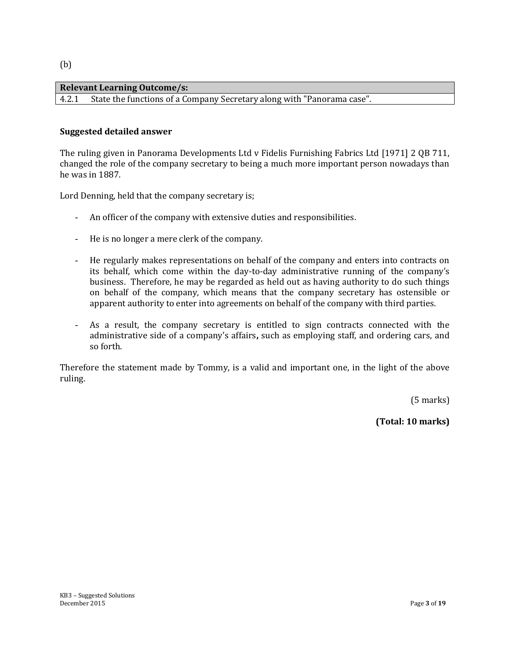#### **Relevant Learning Outcome/s:**  4.2.1 State the functions of a Company Secretary along with "Panorama case".

#### **Suggested detailed answer**

The ruling given in Panorama Developments Ltd v Fidelis Furnishing Fabrics Ltd [1971] 2 QB 711, changed the role of the company secretary to being a much more important person nowadays than he was in 1887.

Lord Denning, held that the company secretary is;

- An officer of the company with extensive duties and responsibilities.
- He is no longer a mere clerk of the company.
- He regularly makes representations on behalf of the company and enters into contracts on its behalf, which come within the day-to-day administrative running of the company's business. Therefore, he may be regarded as held out as having authority to do such things on behalf of the company, which means that the company secretary has ostensible or apparent authority to enter into agreements on behalf of the company with third parties.
- As a result, the company secretary is entitled to sign contracts connected with the administrative side of a company's affairs**,** such as employing staff, and ordering cars, and so forth.

Therefore the statement made by Tommy, is a valid and important one, in the light of the above ruling.

(5 marks)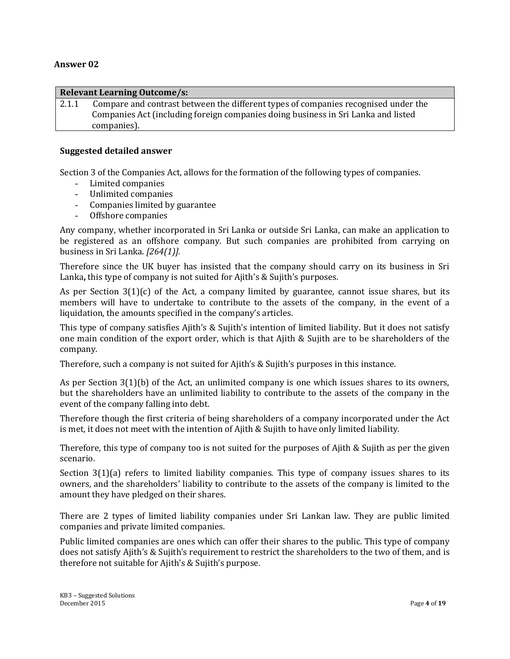#### **Relevant Learning Outcome/s:**

2.1.1 Compare and contrast between the different types of companies recognised under the Companies Act (including foreign companies doing business in Sri Lanka and listed companies).

#### **Suggested detailed answer**

Section 3 of the Companies Act, allows for the formation of the following types of companies.

- Limited companies
- Unlimited companies
- Companies limited by guarantee
- Offshore companies

Any company, whether incorporated in Sri Lanka or outside Sri Lanka, can make an application to be registered as an offshore company. But such companies are prohibited from carrying on business in Sri Lanka. *[264(1)].*

Therefore since the UK buyer has insisted that the company should carry on its business in Sri Lanka**,** this type of company is not suited for Ajith's & Sujith's purposes.

As per Section  $3(1)(c)$  of the Act, a company limited by guarantee, cannot issue shares, but its members will have to undertake to contribute to the assets of the company, in the event of a liquidation, the amounts specified in the company's articles.

This type of company satisfies Ajith's & Sujith's intention of limited liability. But it does not satisfy one main condition of the export order, which is that Ajith & Sujith are to be shareholders of the company.

Therefore, such a company is not suited for Ajith's & Sujith's purposes in this instance.

As per Section 3(1)(b) of the Act, an unlimited company is one which issues shares to its owners, but the shareholders have an unlimited liability to contribute to the assets of the company in the event of the company falling into debt.

Therefore though the first criteria of being shareholders of a company incorporated under the Act is met, it does not meet with the intention of Ajith & Sujith to have only limited liability.

Therefore, this type of company too is not suited for the purposes of Ajith & Sujith as per the given scenario.

Section 3(1)(a) refers to limited liability companies. This type of company issues shares to its owners, and the shareholders' liability to contribute to the assets of the company is limited to the amount they have pledged on their shares.

There are 2 types of limited liability companies under Sri Lankan law. They are public limited companies and private limited companies.

Public limited companies are ones which can offer their shares to the public. This type of company does not satisfy Ajith's & Sujith's requirement to restrict the shareholders to the two of them, and is therefore not suitable for Ajith's & Sujith's purpose.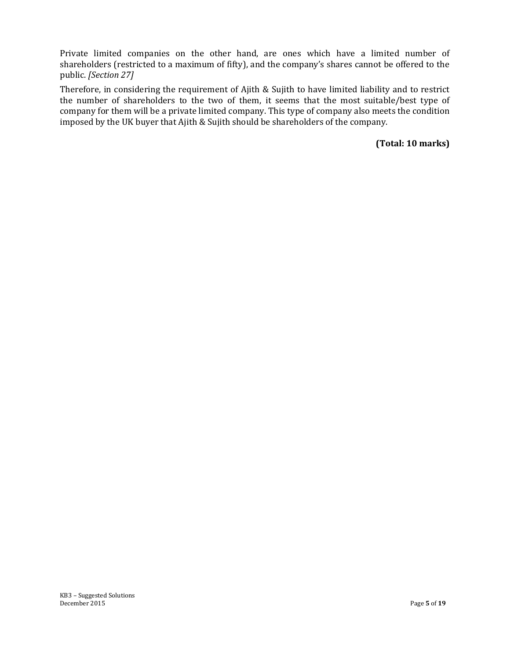Private limited companies on the other hand, are ones which have a limited number of shareholders (restricted to a maximum of fifty), and the company's shares cannot be offered to the public. *[Section 27]*

Therefore, in considering the requirement of Ajith & Sujith to have limited liability and to restrict the number of shareholders to the two of them, it seems that the most suitable/best type of company for them will be a private limited company. This type of company also meets the condition imposed by the UK buyer that Ajith & Sujith should be shareholders of the company.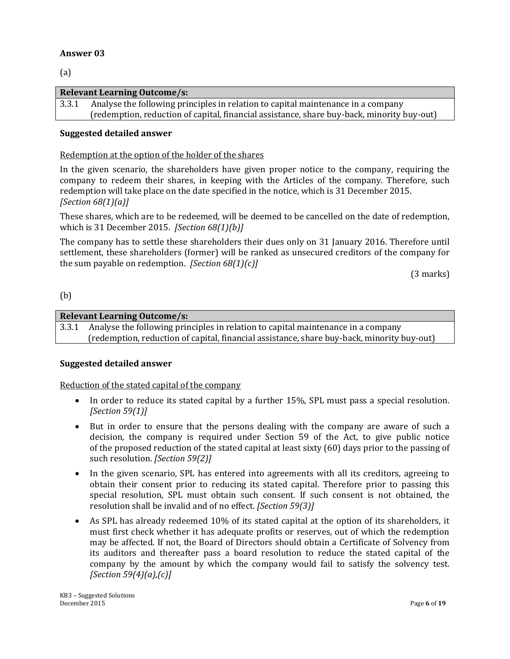(a)

#### **Relevant Learning Outcome/s:**

3.3.1 Analyse the following principles in relation to capital maintenance in a company (redemption, reduction of capital, financial assistance, share buy-back, minority buy-out)

#### **Suggested detailed answer**

#### Redemption at the option of the holder of the shares

In the given scenario, the shareholders have given proper notice to the company, requiring the company to redeem their shares, in keeping with the Articles of the company. Therefore, such redemption will take place on the date specified in the notice, which is 31 December 2015. *[Section 68(1)(a)]*

These shares, which are to be redeemed, will be deemed to be cancelled on the date of redemption, which is 31 December 2015. *[Section 68(1)(b)]*

The company has to settle these shareholders their dues only on 31 January 2016. Therefore until settlement, these shareholders (former) will be ranked as unsecured creditors of the company for the sum payable on redemption. *[Section 68(1)(c)]*

(3 marks)

#### (b)

#### **Relevant Learning Outcome/s:**

3.3.1 Analyse the following principles in relation to capital maintenance in a company (redemption, reduction of capital, financial assistance, share buy-back, minority buy-out)

#### **Suggested detailed answer**

#### Reduction of the stated capital of the company

- In order to reduce its stated capital by a further 15%, SPL must pass a special resolution. *[Section 59(1)]*
- But in order to ensure that the persons dealing with the company are aware of such a decision, the company is required under Section 59 of the Act, to give public notice of the proposed reduction of the stated capital at least sixty (60) days prior to the passing of such resolution. *[Section 59(2)]*
- In the given scenario, SPL has entered into agreements with all its creditors, agreeing to obtain their consent prior to reducing its stated capital. Therefore prior to passing this special resolution, SPL must obtain such consent. If such consent is not obtained, the resolution shall be invalid and of no effect. *[Section 59(3)]*
- As SPL has already redeemed 10% of its stated capital at the option of its shareholders, it must first check whether it has adequate profits or reserves, out of which the redemption may be affected. If not, the Board of Directors should obtain a Certificate of Solvency from its auditors and thereafter pass a board resolution to reduce the stated capital of the company by the amount by which the company would fail to satisfy the solvency test. *[Section 59(4)(a),(c)]*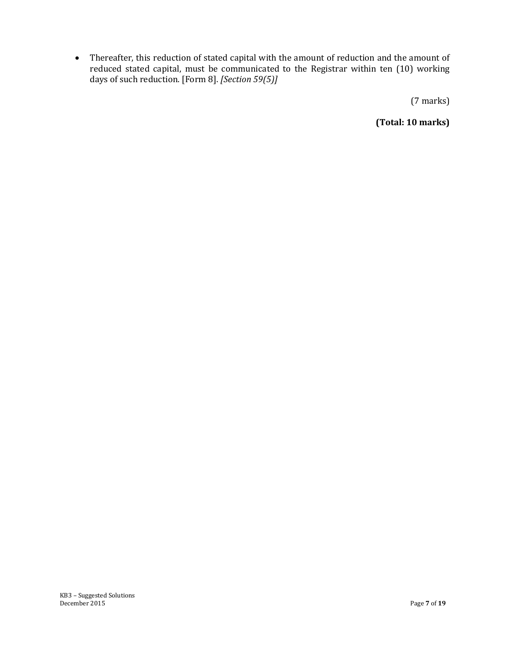Thereafter, this reduction of stated capital with the amount of reduction and the amount of reduced stated capital, must be communicated to the Registrar within ten (10) working days of such reduction. [Form 8]. *[Section 59(5)]*

(7 marks)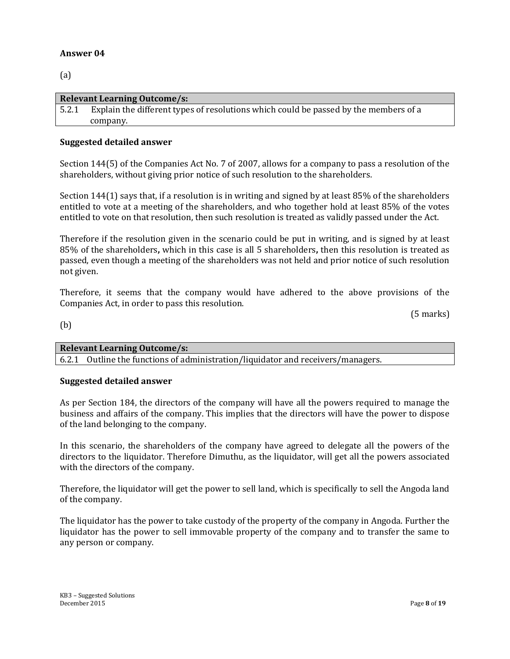(a)

| <b>Relevant Learning Outcome/s:</b> |                                                                                      |  |  |
|-------------------------------------|--------------------------------------------------------------------------------------|--|--|
| 5.2.1                               | Explain the different types of resolutions which could be passed by the members of a |  |  |
|                                     | company.                                                                             |  |  |

#### **Suggested detailed answer**

Section 144(5) of the Companies Act No. 7 of 2007, allows for a company to pass a resolution of the shareholders, without giving prior notice of such resolution to the shareholders.

Section 144(1) says that, if a resolution is in writing and signed by at least 85% of the shareholders entitled to vote at a meeting of the shareholders, and who together hold at least 85% of the votes entitled to vote on that resolution, then such resolution is treated as validly passed under the Act.

Therefore if the resolution given in the scenario could be put in writing, and is signed by at least 85% of the shareholders**,** which in this case is all 5 shareholders**,** then this resolution is treated as passed, even though a meeting of the shareholders was not held and prior notice of such resolution not given.

Therefore, it seems that the company would have adhered to the above provisions of the Companies Act, in order to pass this resolution.

(5 marks)

(b)

| <b>Relevant Learning Outcome/s:</b> |  |
|-------------------------------------|--|
| $\sqrt{2}$                          |  |

6.2.1 Outline the functions of administration/liquidator and receivers/managers.

#### **Suggested detailed answer**

As per Section 184, the directors of the company will have all the powers required to manage the business and affairs of the company. This implies that the directors will have the power to dispose of the land belonging to the company.

In this scenario, the shareholders of the company have agreed to delegate all the powers of the directors to the liquidator. Therefore Dimuthu, as the liquidator, will get all the powers associated with the directors of the company.

Therefore, the liquidator will get the power to sell land, which is specifically to sell the Angoda land of the company.

The liquidator has the power to take custody of the property of the company in Angoda. Further the liquidator has the power to sell immovable property of the company and to transfer the same to any person or company.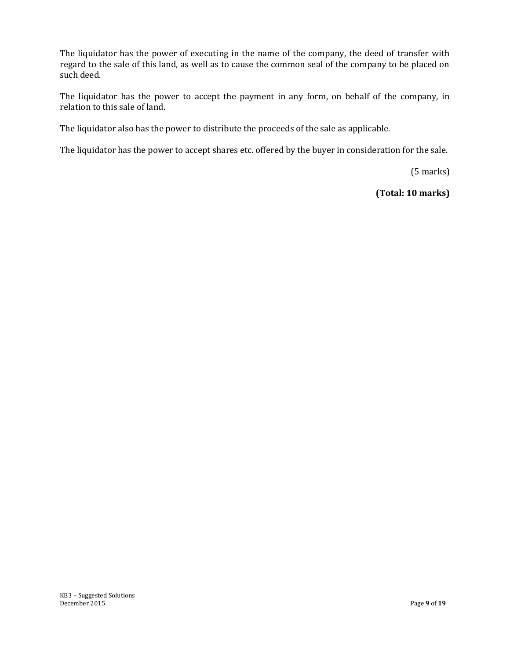The liquidator has the power of executing in the name of the company, the deed of transfer with regard to the sale of this land, as well as to cause the common seal of the company to be placed on such deed.

The liquidator has the power to accept the payment in any form, on behalf of the company, in relation to this sale of land.

The liquidator also has the power to distribute the proceeds of the sale as applicable.

The liquidator has the power to accept shares etc. offered by the buyer in consideration for the sale.

(5 marks)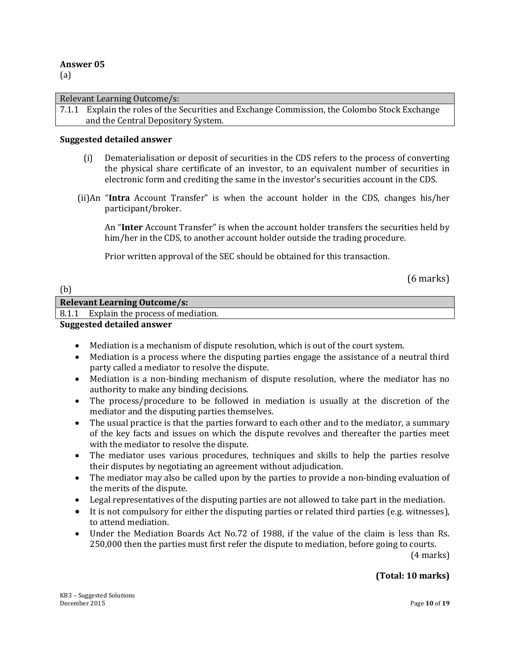(a)

#### Relevant Learning Outcome/s:

7.1.1 Explain the roles of the Securities and Exchange Commission, the Colombo Stock Exchange and the Central Depository System.

#### **Suggested detailed answer**

- (i) Dematerialisation or deposit of securities in the CDS refers to the process of converting the physical share certificate of an investor, to an equivalent number of securities in electronic form and crediting the same in the investor's securities account in the CDS.
- (ii)An "**Intra** Account Transfer" is when the account holder in the CDS, changes his/her participant/broker.

An "**Inter** Account Transfer" is when the account holder transfers the securities held by him/her in the CDS, to another account holder outside the trading procedure.

Prior written approval of the SEC should be obtained for this transaction.

(6 marks)

| (b) |                                         |
|-----|-----------------------------------------|
|     | <b>Relevant Learning Outcome/s:</b>     |
|     | 8.1.1 Explain the process of mediation. |
|     | _ _ _ _                                 |

#### **Suggested detailed answer**

- Mediation is a mechanism of dispute resolution, which is out of the court system.
- Mediation is a process where the disputing parties engage the assistance of a neutral third party called a mediator to resolve the dispute.
- Mediation is a non-binding mechanism of dispute resolution, where the mediator has no authority to make any binding decisions.
- The process/procedure to be followed in mediation is usually at the discretion of the mediator and the disputing parties themselves.
- The usual practice is that the parties forward to each other and to the mediator, a summary of the key facts and issues on which the dispute revolves and thereafter the parties meet with the mediator to resolve the dispute.
- The mediator uses various procedures, techniques and skills to help the parties resolve their disputes by negotiating an agreement without adjudication.
- The mediator may also be called upon by the parties to provide a non-binding evaluation of the merits of the dispute.
- Legal representatives of the disputing parties are not allowed to take part in the mediation.
- It is not compulsory for either the disputing parties or related third parties (e.g. witnesses), to attend mediation.
- Under the Mediation Boards Act No.72 of 1988, if the value of the claim is less than Rs. 250,000 then the parties must first refer the dispute to mediation, before going to courts.

(4 marks)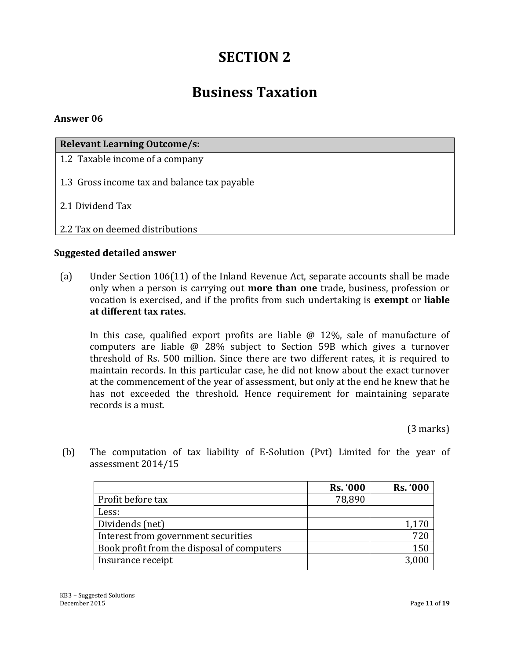## **SECTION 2**

## **Business Taxation**

#### **Answer 06**

| <b>Relevant Learning Outcome/s:</b>          |
|----------------------------------------------|
| 1.2 Taxable income of a company              |
| 1.3 Gross income tax and balance tax payable |
| 2.1 Dividend Tax                             |
| 2.2 Tax on deemed distributions              |

#### **Suggested detailed answer**

(a) Under Section 106(11) of the Inland Revenue Act, separate accounts shall be made only when a person is carrying out **more than one** trade, business, profession or vocation is exercised, and if the profits from such undertaking is **exempt** or **liable at different tax rates**.

In this case, qualified export profits are liable  $\omega$  12%, sale of manufacture of computers are liable @ 28% subject to Section 59B which gives a turnover threshold of Rs. 500 million. Since there are two different rates, it is required to maintain records. In this particular case, he did not know about the exact turnover at the commencement of the year of assessment, but only at the end he knew that he has not exceeded the threshold. Hence requirement for maintaining separate records is a must.

(3 marks)

|                                            | <b>Rs. '000</b> | <b>Rs. '000</b> |
|--------------------------------------------|-----------------|-----------------|
| Profit before tax                          | 78,890          |                 |
| Less:                                      |                 |                 |
| Dividends (net)                            |                 | 1,170           |
| Interest from government securities        |                 | 72(             |
| Book profit from the disposal of computers |                 | 150             |
| Insurance receipt                          |                 | 3,000           |

(b) The computation of tax liability of E-Solution (Pvt) Limited for the year of assessment 2014/15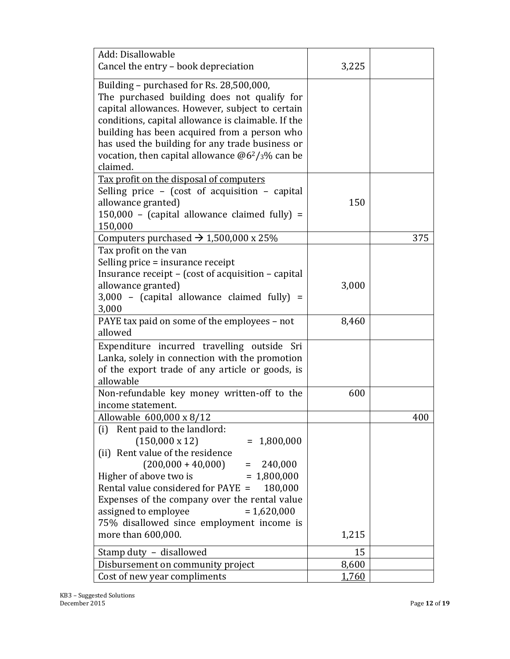| Add: Disallowable<br>Cancel the entry - book depreciation                                                                                                                                                                                                                                                                                                                              | 3,225 |     |
|----------------------------------------------------------------------------------------------------------------------------------------------------------------------------------------------------------------------------------------------------------------------------------------------------------------------------------------------------------------------------------------|-------|-----|
|                                                                                                                                                                                                                                                                                                                                                                                        |       |     |
| Building - purchased for Rs. 28,500,000,<br>The purchased building does not qualify for<br>capital allowances. However, subject to certain<br>conditions, capital allowance is claimable. If the<br>building has been acquired from a person who<br>has used the building for any trade business or<br>vocation, then capital allowance $@62/3\%$ can be<br>claimed.                   |       |     |
| Tax profit on the disposal of computers<br>Selling price - (cost of acquisition - capital<br>allowance granted)<br>$150,000$ - (capital allowance claimed fully) =<br>150,000                                                                                                                                                                                                          | 150   |     |
| Computers purchased $\rightarrow$ 1,500,000 x 25%                                                                                                                                                                                                                                                                                                                                      |       | 375 |
| Tax profit on the van<br>Selling price = insurance receipt<br>Insurance receipt – (cost of acquisition – capital<br>allowance granted)<br>$3,000$ - (capital allowance claimed fully) =<br>3,000                                                                                                                                                                                       | 3,000 |     |
| PAYE tax paid on some of the employees – not<br>allowed                                                                                                                                                                                                                                                                                                                                | 8,460 |     |
| Expenditure incurred travelling outside Sri<br>Lanka, solely in connection with the promotion<br>of the export trade of any article or goods, is<br>allowable                                                                                                                                                                                                                          |       |     |
| Non-refundable key money written-off to the<br>income statement.                                                                                                                                                                                                                                                                                                                       | 600   |     |
| Allowable 600,000 x 8/12                                                                                                                                                                                                                                                                                                                                                               |       | 400 |
| (i) Rent paid to the landlord:<br>$(150,000 \times 12)$<br>$= 1,800,000$<br>(ii) Rent value of the residence<br>$(200,000 + 40,000)$<br>$= 240,000$<br>Higher of above two is<br>$= 1,800,000$<br>Rental value considered for PAYE =<br>180,000<br>Expenses of the company over the rental value<br>assigned to employee<br>$= 1,620,000$<br>75% disallowed since employment income is |       |     |
| more than 600,000.                                                                                                                                                                                                                                                                                                                                                                     | 1,215 |     |
| Stamp duty - disallowed                                                                                                                                                                                                                                                                                                                                                                | 15    |     |
| Disbursement on community project                                                                                                                                                                                                                                                                                                                                                      | 8,600 |     |
| Cost of new year compliments                                                                                                                                                                                                                                                                                                                                                           | 1,760 |     |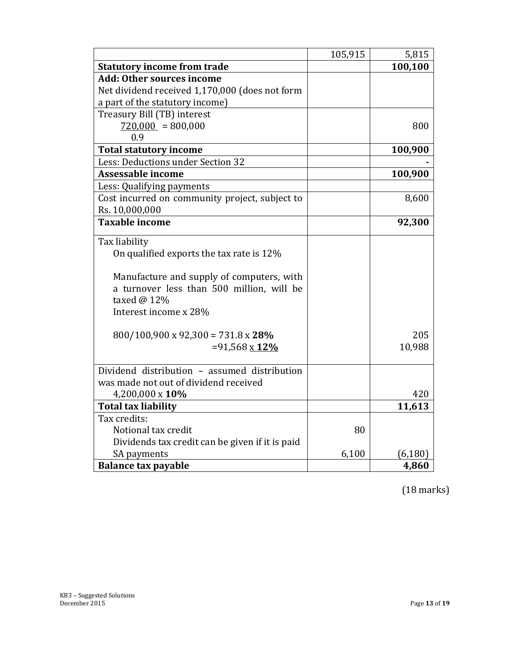|                                                 | 105,915 | 5,815    |
|-------------------------------------------------|---------|----------|
| <b>Statutory income from trade</b>              |         | 100,100  |
| <b>Add: Other sources income</b>                |         |          |
| Net dividend received 1,170,000 (does not form  |         |          |
| a part of the statutory income)                 |         |          |
| Treasury Bill (TB) interest                     |         |          |
| $720,000 = 800,000$                             |         | 800      |
| 0.9                                             |         |          |
| <b>Total statutory income</b>                   |         | 100,900  |
| Less: Deductions under Section 32               |         |          |
| <b>Assessable income</b>                        |         | 100,900  |
| Less: Qualifying payments                       |         |          |
| Cost incurred on community project, subject to  |         | 8,600    |
| Rs. 10,000,000                                  |         |          |
| <b>Taxable income</b>                           |         | 92,300   |
| Tax liability                                   |         |          |
| On qualified exports the tax rate is 12%        |         |          |
|                                                 |         |          |
| Manufacture and supply of computers, with       |         |          |
| a turnover less than 500 million, will be       |         |          |
| taxed @ 12%                                     |         |          |
| Interest income x 28%                           |         |          |
|                                                 |         |          |
| $800/100,900 \times 92,300 = 731.8 \times 28\%$ |         | 205      |
| $=91,568 \times 12\%$                           |         | 10,988   |
|                                                 |         |          |
| Dividend distribution - assumed distribution    |         |          |
| was made not out of dividend received           |         |          |
| 4,200,000 x 10%                                 |         | 420      |
| <b>Total tax liability</b>                      |         | 11,613   |
| Tax credits:                                    |         |          |
| Notional tax credit                             | 80      |          |
| Dividends tax credit can be given if it is paid |         |          |
| SA payments                                     | 6,100   | (6, 180) |
| <b>Balance tax payable</b>                      |         | 4,860    |

(18 marks)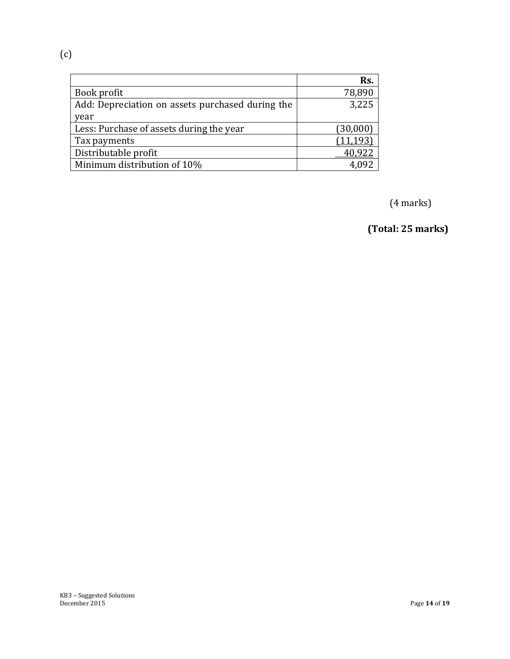(c)

|                                                  | Rs.       |
|--------------------------------------------------|-----------|
| Book profit                                      | 78,890    |
| Add: Depreciation on assets purchased during the | 3,225     |
| year                                             |           |
| Less: Purchase of assets during the year         | (30,000)  |
| Tax payments                                     | (11, 193) |
| Distributable profit                             | 40,922    |
| Minimum distribution of 10%                      |           |

(4 marks)

 **(Total: 25 marks)**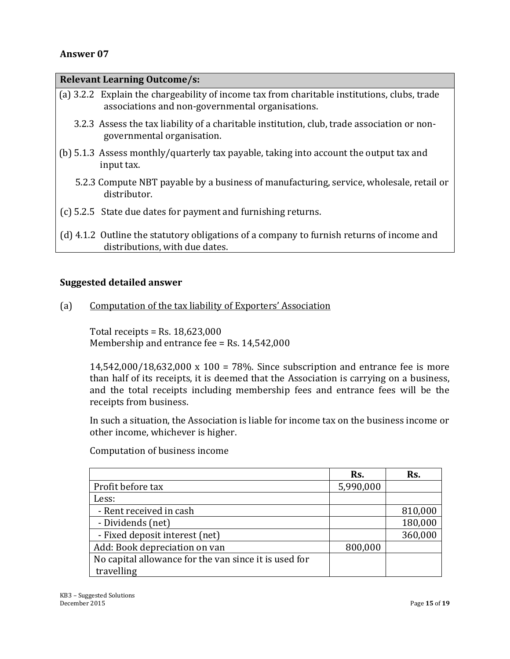| <b>Relevant Learning Outcome/s:</b> |                                                                                                                                                  |  |  |
|-------------------------------------|--------------------------------------------------------------------------------------------------------------------------------------------------|--|--|
|                                     | (a) 3.2.2 Explain the chargeability of income tax from charitable institutions, clubs, trade<br>associations and non-governmental organisations. |  |  |
|                                     | 3.2.3 Assess the tax liability of a charitable institution, club, trade association or non-<br>governmental organisation.                        |  |  |
|                                     | (b) 5.1.3 Assess monthly/quarterly tax payable, taking into account the output tax and<br>input tax.                                             |  |  |
|                                     | 5.2.3 Compute NBT payable by a business of manufacturing, service, wholesale, retail or<br>distributor.                                          |  |  |
|                                     | (c) 5.2.5 State due dates for payment and furnishing returns.                                                                                    |  |  |
|                                     | (d) 4.1.2 Outline the statutory obligations of a company to furnish returns of income and<br>distributions, with due dates.                      |  |  |

#### **Suggested detailed answer**

(a) Computation of the tax liability of Exporters' Association

Total receipts = Rs. 18,623,000 Membership and entrance fee = Rs. 14,542,000

14,542,000/18,632,000 x 100 = 78%. Since subscription and entrance fee is more than half of its receipts, it is deemed that the Association is carrying on a business, and the total receipts including membership fees and entrance fees will be the receipts from business.

In such a situation, the Association is liable for income tax on the business income or other income, whichever is higher.

Computation of business income

|                                                       | Rs.       | Rs.     |
|-------------------------------------------------------|-----------|---------|
| Profit before tax                                     | 5,990,000 |         |
| Less:                                                 |           |         |
| - Rent received in cash                               |           | 810,000 |
| - Dividends (net)                                     |           | 180,000 |
| - Fixed deposit interest (net)                        |           | 360,000 |
| Add: Book depreciation on van                         | 800,000   |         |
| No capital allowance for the van since it is used for |           |         |
| travelling                                            |           |         |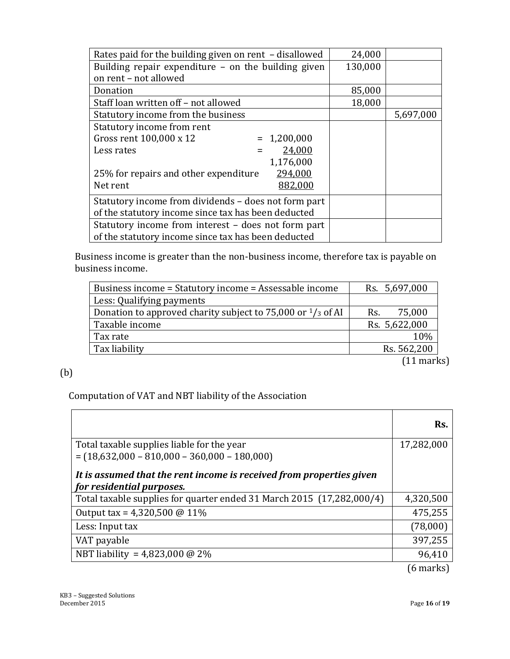| Rates paid for the building given on rent - disallowed | 24,000  |           |
|--------------------------------------------------------|---------|-----------|
| Building repair expenditure - on the building given    | 130,000 |           |
| on rent - not allowed                                  |         |           |
| Donation                                               | 85,000  |           |
| Staff loan written off - not allowed                   | 18,000  |           |
| Statutory income from the business                     |         | 5,697,000 |
| Statutory income from rent                             |         |           |
| Gross rent 100,000 x 12<br>$= 1,200,000$               |         |           |
| 24,000<br>Less rates                                   |         |           |
| 1,176,000                                              |         |           |
| 25% for repairs and other expenditure<br>294,000       |         |           |
| Net rent<br>882,000                                    |         |           |
| Statutory income from dividends – does not form part   |         |           |
| of the statutory income since tax has been deducted    |         |           |
| Statutory income from interest - does not form part    |         |           |
| of the statutory income since tax has been deducted    |         |           |

Business income is greater than the non-business income, therefore tax is payable on business income.

| Business income = Statutory income = Assessable income                | Rs. 5,697,000 |
|-----------------------------------------------------------------------|---------------|
| Less: Qualifying payments                                             |               |
| Donation to approved charity subject to 75,000 or $\frac{1}{3}$ of AI | 75,000<br>Rs. |
| Taxable income                                                        | Rs. 5,622,000 |
| Tax rate                                                              | 10%           |
| Tax liability                                                         | Rs. 562,200   |
|                                                                       | $(11$ marks)  |

### (b)

Computation of VAT and NBT liability of the Association

|                                                                                                   | Rs.        |
|---------------------------------------------------------------------------------------------------|------------|
| Total taxable supplies liable for the year                                                        | 17,282,000 |
| $= (18,632,000 - 810,000 - 360,000 - 180,000)$                                                    |            |
| It is assumed that the rent income is received from properties given<br>for residential purposes. |            |
| Total taxable supplies for quarter ended 31 March 2015 (17,282,000/4)                             | 4,320,500  |
| Output tax = $4,320,500 \text{ @ } 11\%$                                                          | 475,255    |
| Less: Input tax                                                                                   | (78,000)   |
| VAT payable                                                                                       | 397,255    |
| NBT liability = 4,823,000 @ 2%                                                                    | 96,410     |
|                                                                                                   | (6 marks)  |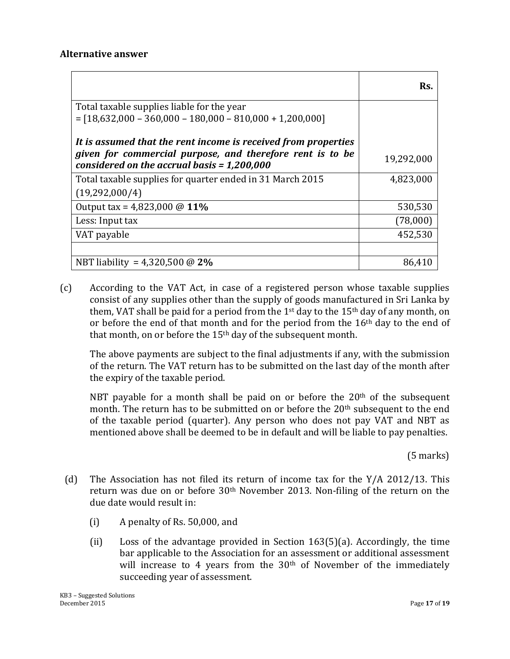|                                                                                                                                                                              | Rs.        |
|------------------------------------------------------------------------------------------------------------------------------------------------------------------------------|------------|
| Total taxable supplies liable for the year<br>$=[18,632,000 - 360,000 - 180,000 - 810,000 + 1,200,000]$                                                                      |            |
| It is assumed that the rent income is received from properties<br>given for commercial purpose, and therefore rent is to be<br>considered on the accrual basis = $1,200,000$ | 19,292,000 |
| Total taxable supplies for quarter ended in 31 March 2015                                                                                                                    | 4,823,000  |
| (19,292,000/4)                                                                                                                                                               |            |
| Output tax = $4,823,000 \text{ @ } 11\%$                                                                                                                                     | 530,530    |
| Less: Input tax                                                                                                                                                              | (78,000)   |
| VAT payable                                                                                                                                                                  | 452,530    |
|                                                                                                                                                                              |            |
| NBT liability = 4,320,500 @ $2\%$                                                                                                                                            | 86,410     |

(c) According to the VAT Act, in case of a registered person whose taxable supplies consist of any supplies other than the supply of goods manufactured in Sri Lanka by them, VAT shall be paid for a period from the 1<sup>st</sup> day to the 15<sup>th</sup> day of any month, on or before the end of that month and for the period from the 16<sup>th</sup> day to the end of that month, on or before the  $15<sup>th</sup>$  day of the subsequent month.

The above payments are subject to the final adjustments if any, with the submission of the return. The VAT return has to be submitted on the last day of the month after the expiry of the taxable period.

NBT payable for a month shall be paid on or before the  $20<sup>th</sup>$  of the subsequent month. The return has to be submitted on or before the 20<sup>th</sup> subsequent to the end of the taxable period (quarter). Any person who does not pay VAT and NBT as mentioned above shall be deemed to be in default and will be liable to pay penalties.

(5 marks)

- (d) The Association has not filed its return of income tax for the Y/A 2012/13. This return was due on or before 30th November 2013. Non-filing of the return on the due date would result in:
	- (i) A penalty of Rs. 50,000, and
	- (ii) Loss of the advantage provided in Section 163(5)(a). Accordingly, the time bar applicable to the Association for an assessment or additional assessment will increase to 4 years from the 30<sup>th</sup> of November of the immediately succeeding year of assessment.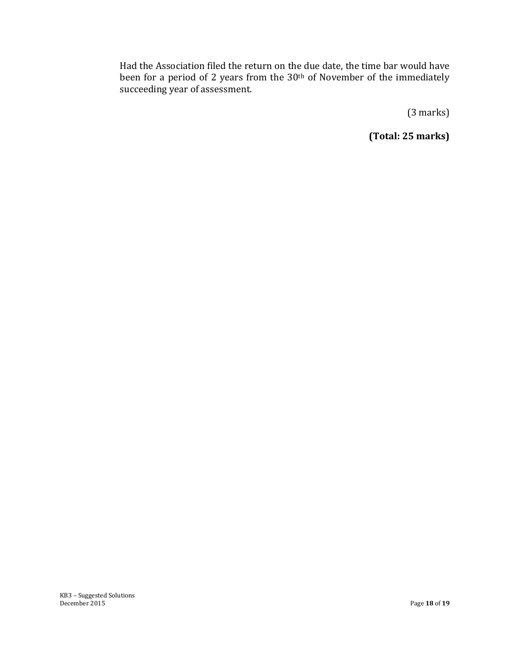Had the Association filed the return on the due date, the time bar would have been for a period of 2 years from the 30<sup>th</sup> of November of the immediately succeeding year of assessment.

(3 marks)

**(Total: 25 marks)**